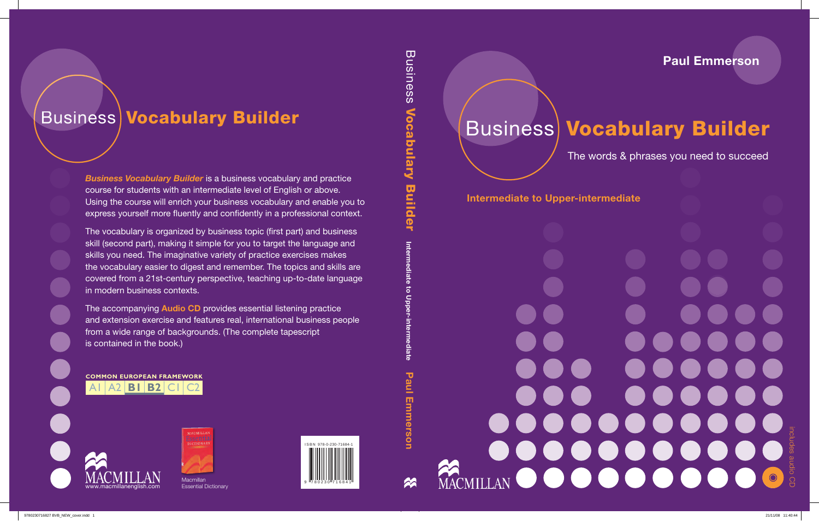Paul Emmerson

# **Business Vocabulary Builder**

The words & phrases you need to succeed

Intermediate to Upper-intermediate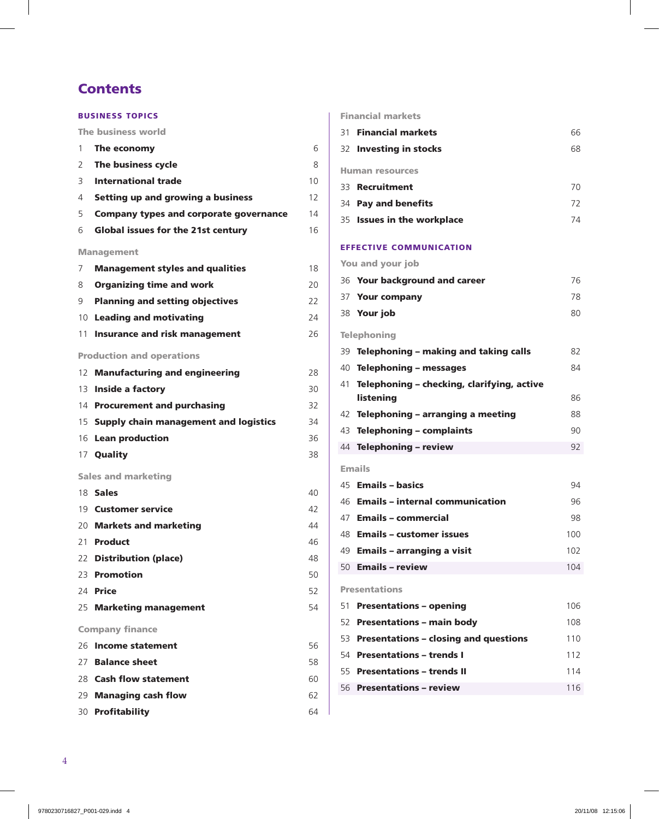## **Contents**

#### BUSINESS TOPICS

#### The business world

|                 | The business world                            |    |
|-----------------|-----------------------------------------------|----|
| $\mathbf{1}$    | The economy                                   | 6  |
| 2               | The business cycle                            | 8  |
| 3               | <b>International trade</b>                    | 10 |
| 4               | <b>Setting up and growing a business</b>      | 12 |
| 5               | <b>Company types and corporate governance</b> | 14 |
| 6               | <b>Global issues for the 21st century</b>     | 16 |
|                 | <b>Management</b>                             |    |
| 7               | <b>Management styles and qualities</b>        | 18 |
| 8               | <b>Organizing time and work</b>               | 20 |
| 9               | <b>Planning and setting objectives</b>        | 22 |
| $10-10$         | <b>Leading and motivating</b>                 | 24 |
| 11              | <b>Insurance and risk management</b>          | 26 |
|                 | <b>Production and operations</b>              |    |
| 12 <sup>7</sup> | <b>Manufacturing and engineering</b>          | 28 |
| 13              | <b>Inside a factory</b>                       | 30 |
|                 | 14 Procurement and purchasing                 | 32 |
| 15              | Supply chain management and logistics         | 34 |
|                 | 16 Lean production                            | 36 |
|                 | 17 <b>Quality</b>                             | 38 |
|                 |                                               |    |

#### Sales and marketing

| 18 <b>Sales</b>                 | 40 |
|---------------------------------|----|
| 19 <b>Customer service</b>      | 42 |
| 20 <b>Markets and marketing</b> | 44 |
| 21 <b>Product</b>               | 46 |
| 22 Distribution (place)         | 48 |
| 23 <b>Promotion</b>             | 50 |
| 24 Price                        | 52 |
| 25 Marketing management         | 54 |
| <b>Company finance</b>          |    |
| 26 Income statement             | 56 |
| 27 Balance sheet                | 58 |
| 28 Cash flow statement          | 60 |
| 29 <b>Managing cash flow</b>    | 62 |
|                                 |    |

Profitability 64

#### Financial markets

| 31 <b>Financial markets</b> | 66 |
|-----------------------------|----|
| 32 Investing in stocks      | 68 |

#### Human resources

| 33 <b>Recruitment</b>             | 70 |
|-----------------------------------|----|
| 34 <b>Pay and benefits</b>        | 72 |
| 35 <b>Issues in the workplace</b> | 74 |

#### EFFECTIVE COMMUNICATION

You and your job

| 36 Your background and career | 76 |
|-------------------------------|----|
| 37 Your company               | 78 |
| 38 Your job                   | 80 |

#### Telephoning

|    | 39 Telephoning – making and taking calls   | 82 |
|----|--------------------------------------------|----|
|    | 40 Telephoning - messages                  | 84 |
| 41 | Telephoning – checking, clarifying, active |    |
|    | listening                                  | 86 |
|    | 42 Telephoning – arranging a meeting       | 88 |
|    | 43 Telephoning - complaints                | 90 |
|    | 44 Telephoning - review                    | 92 |

#### Emails

| 45 <b>Emails - basics</b>          | 94  |
|------------------------------------|-----|
| 46 Emails – internal communication | 96  |
| 47 Emails – commercial             | 98  |
| 48 <b>Emails – customer issues</b> | 100 |
| 49 Emails – arranging a visit      | 102 |
| 50 <b>Emails – review</b>          | 104 |

#### Presentations

| 51 Presentations - opening               | 106 |
|------------------------------------------|-----|
| 52 Presentations - main body             | 108 |
| 53 Presentations - closing and questions | 110 |
| 54 Presentations – trends I              | 112 |
| 55 Presentations - trends II             | 114 |
| 56 Presentations - review                | 116 |
|                                          |     |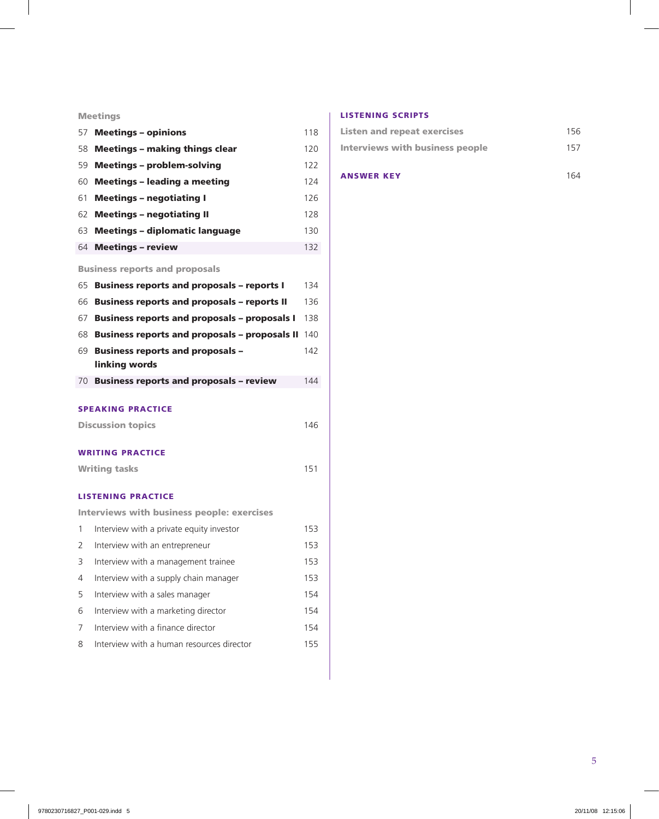#### Meetings

| 57 |                                                      |     |
|----|------------------------------------------------------|-----|
|    | <b>Meetings - opinions</b>                           | 118 |
| 58 | <b>Meetings - making things clear</b>                | 120 |
| 59 | <b>Meetings - problem-solving</b>                    | 122 |
| 60 | <b>Meetings - leading a meeting</b>                  | 124 |
| 61 | <b>Meetings - negotiating I</b>                      | 126 |
| 62 | <b>Meetings - negotiating II</b>                     | 128 |
| 63 | <b>Meetings - diplomatic language</b>                | 130 |
| 64 | <b>Meetings - review</b>                             | 132 |
|    | <b>Business reports and proposals</b>                |     |
| 65 | <b>Business reports and proposals - reports I</b>    | 134 |
| 66 | <b>Business reports and proposals - reports II</b>   | 136 |
| 67 | <b>Business reports and proposals - proposals I</b>  | 138 |
| 68 | <b>Business reports and proposals - proposals II</b> | 140 |
| 69 | <b>Business reports and proposals -</b>              | 142 |
|    | linking words                                        |     |
| 70 | <b>Business reports and proposals - review</b>       | 144 |
|    | <b>SPEAKING PRACTICE</b>                             |     |
|    | <b>Discussion topics</b>                             | 146 |
|    |                                                      |     |
|    | <b>WRITING PRACTICE</b>                              |     |
|    | <b>Writing tasks</b>                                 | 151 |
|    |                                                      |     |
|    |                                                      |     |
|    | <b>LISTENING PRACTICE</b>                            |     |
|    | <b>Interviews with business people: exercises</b>    |     |
| 1  | Interview with a private equity investor             | 153 |
| 2  | Interview with an entrepreneur                       | 153 |
| 3  | Interview with a management trainee                  | 153 |
| 4  | Interview with a supply chain manager                | 153 |
| 5  | Interview with a sales manager                       | 154 |
| 6  | Interview with a marketing director                  | 154 |
| 7  | Interview with a finance director                    | 154 |
| 8  | Interview with a human resources director            | 155 |

#### LISTENING scripts

| <b>Listen and repeat exercises</b> | 156 |
|------------------------------------|-----|
| Interviews with business people    | 157 |

#### ANSWER KEY 164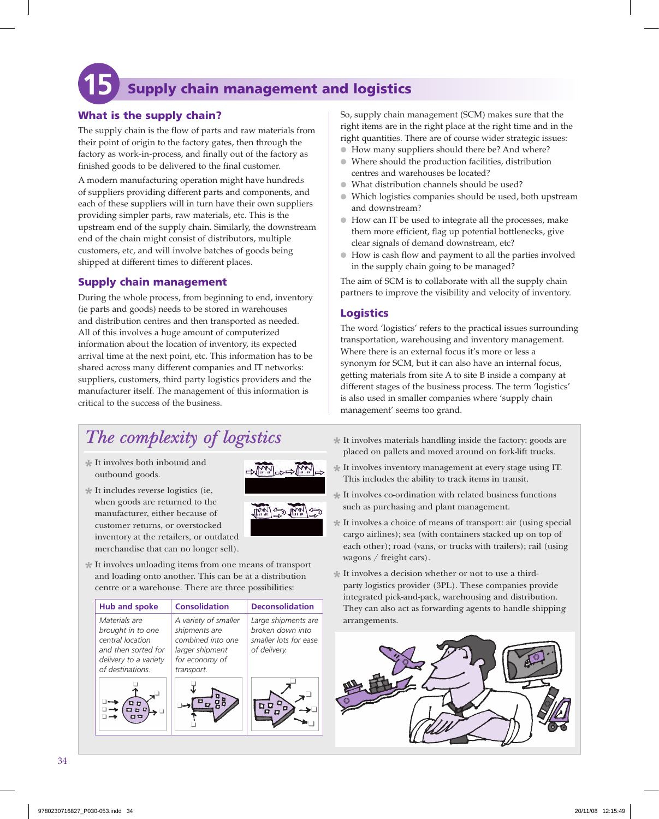

#### What is the supply chain?

The supply chain is the flow of parts and raw materials from their point of origin to the factory gates, then through the factory as work-in-process, and finally out of the factory as finished goods to be delivered to the final customer.

A modern manufacturing operation might have hundreds of suppliers providing different parts and components, and each of these suppliers will in turn have their own suppliers providing simpler parts, raw materials, etc. This is the upstream end of the supply chain. Similarly, the downstream end of the chain might consist of distributors, multiple customers, etc, and will involve batches of goods being shipped at different times to different places.

#### Supply chain management

During the whole process, from beginning to end, inventory (ie parts and goods) needs to be stored in warehouses and distribution centres and then transported as needed. All of this involves a huge amount of computerized information about the location of inventory, its expected arrival time at the next point, etc. This information has to be shared across many different companies and IT networks: suppliers, customers, third party logistics providers and the manufacturer itself. The management of this information is critical to the success of the business.

So, supply chain management (SCM) makes sure that the right items are in the right place at the right time and in the right quantities. There are of course wider strategic issues:

- How many suppliers should there be? And where?
- Where should the production facilities, distribution centres and warehouses be located?
- What distribution channels should be used?
- Which logistics companies should be used, both upstream and downstream?
- How can IT be used to integrate all the processes, make them more efficient, flag up potential bottlenecks, give clear signals of demand downstream, etc?
- How is cash flow and payment to all the parties involved in the supply chain going to be managed?

The aim of SCM is to collaborate with all the supply chain partners to improve the visibility and velocity of inventory.

#### **Logistics**

The word 'logistics' refers to the practical issues surrounding transportation, warehousing and inventory management. Where there is an external focus it's more or less a synonym for SCM, but it can also have an internal focus, getting materials from site A to site B inside a company at different stages of the business process. The term 'logistics' is also used in smaller companies where 'supply chain management' seems too grand.

## *The complexity of logistics*

- **\***It involves both inbound and outbound goods.
- **\*** It includes reverse logistics (ie, when goods are returned to the manufacturer, either because of customer returns, or overstocked inventory at the retailers, or outdated merchandise that can no longer sell).



**\*** It involves unloading items from one means of transport and loading onto another. This can be at a distribution centre or a warehouse. There are three possibilities:



- **\*** It involves materials handling inside the factory: goods are placed on pallets and moved around on fork-lift trucks.
- **\*** It involves inventory management at every stage using IT. This includes the ability to track items in transit.
- **\*** It involves co-ordination with related business functions such as purchasing and plant management.
- **\*** It involves a choice of means of transport: air (using special cargo airlines); sea (with containers stacked up on top of each other); road (vans, or trucks with trailers); rail (using wagons / freight cars).
- **\*** It involves a decision whether or not to use a thirdparty logistics provider (3PL). These companies provide integrated pick-and-pack, warehousing and distribution. They can also act as forwarding agents to handle shipping arrangements.

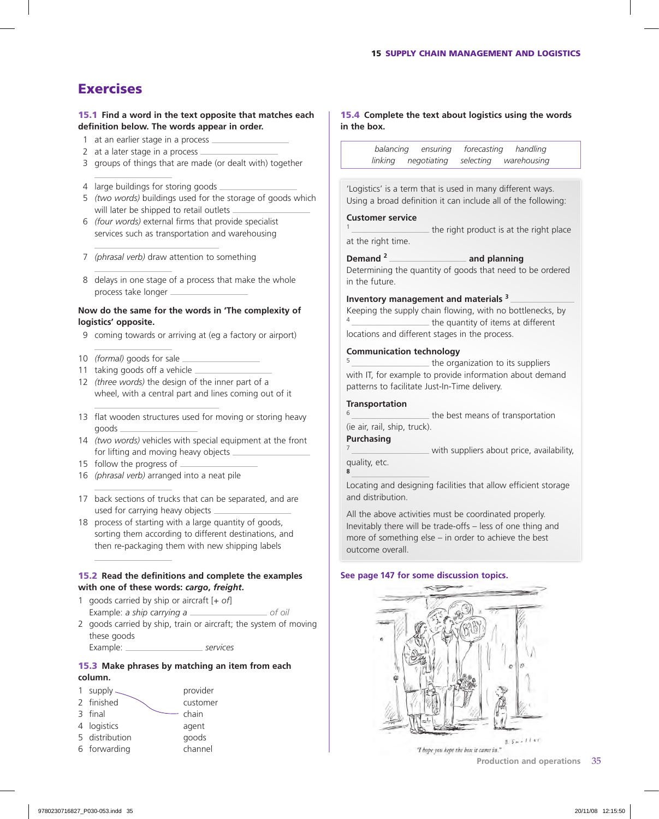## **Exercises**

#### 15.1 **Find a word in the text opposite that matches each definition below. The words appear in order.**

- 1 at an earlier stage in a process  $\equiv$
- 2 at a later stage in a process
- 3 groups of things that are made (or dealt with) together
- 4 large buildings for storing goods
- 5 *(two words)* buildings used for the storage of goods which will later be shipped to retail outlets \_
- 6 *(four words)* external firms that provide specialist services such as transportation and warehousing
- 7 *(phrasal verb)* draw attention to something
- 8 delays in one stage of a process that make the whole process take longer

#### **Now do the same for the words in 'The complexity of logistics' opposite.**

- 9 coming towards or arriving at (eg a factory or airport)
- 10 *(formal)* goods for sale
- 11 taking goods off a vehicle
- 12 *(three words)* the design of the inner part of a wheel, with a central part and lines coming out of it
- 13 flat wooden structures used for moving or storing heavy goods
- 14 *(two words)* vehicles with special equipment at the front for lifting and moving heavy objects
- 15 follow the progress of
- 16 *(phrasal verb)* arranged into a neat pile
- 17 back sections of trucks that can be separated, and are used for carrying heavy objects
- 18 process of starting with a large quantity of goods, sorting them according to different destinations, and then re-packaging them with new shipping labels

#### 15.2 **Read the definitions and complete the examples with one of these words:** *cargo***,** *freight***.**

- 1 goods carried by ship or aircraft [+ *of*] Example: *a ship carrying a* \_\_\_\_\_\_\_\_\_\_\_\_\_\_\_\_\_\_\_\_\_\_ of oil 2 goods carried by ship, train or aircraft; the system of moving these goods
	- Example: *services*

#### 15.3 **Make phrases by matching an item from each column.**

| 1 supply $\sim$ | provider |
|-----------------|----------|
| 2 finished      | customer |
| 3 final         | chain    |
| 4 logistics     | agent    |
| 5 distribution  | goods    |
| 6 forwarding    | channel  |

#### 15.4 **Complete the text about logistics using the words in the box.**

| balancing | ensuring            | forecasting | handling    |
|-----------|---------------------|-------------|-------------|
|           | linking negotiating | selecting   | warehousing |

'Logistics' is a term that is used in many different ways. Using a broad definition it can include all of the following:

#### **Customer service**

the right product is at the right place at the right time.

**Demand 2 and planning**

Determining the quantity of goods that need to be ordered in the future.

#### **Inventory management and materials <sup>3</sup>**

Keeping the supply chain flowing, with no bottlenecks, by <sup>4</sup> \_\_\_\_\_\_\_\_\_\_\_\_\_\_\_\_\_\_\_\_\_\_the quantity of items at different locations and different stages in the process.

#### **Communication technology**

**Example 12 the organization to its suppliers** with IT, for example to provide information about demand patterns to facilitate Just-In-Time delivery.

#### **Transportation**

 $\_$  the best means of transportation (ie air, rail, ship, truck).

#### **Purchasing**

 $\sim$  with suppliers about price, availability,

quality, etc. **8** 

Locating and designing facilities that allow efficient storage and distribution.

All the above activities must be coordinated properly. Inevitably there will be trade-offs – less of one thing and more of something else – in order to achieve the best outcome overall.

#### **See page 147 for some discussion topics.**

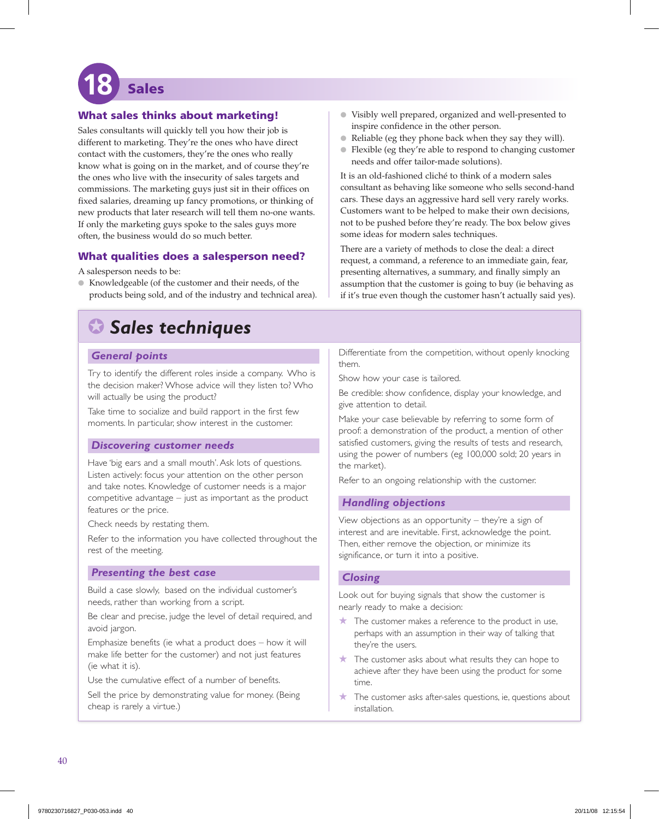

#### What sales thinks about marketing!

Sales consultants will quickly tell you how their job is different to marketing. They're the ones who have direct contact with the customers, they're the ones who really know what is going on in the market, and of course they're the ones who live with the insecurity of sales targets and commissions. The marketing guys just sit in their offices on fixed salaries, dreaming up fancy promotions, or thinking of new products that later research will tell them no-one wants. If only the marketing guys spoke to the sales guys more often, the business would do so much better.

#### What qualities does a salesperson need?

A salesperson needs to be:

● Knowledgeable (of the customer and their needs, of the products being sold, and of the industry and technical area).

- Visibly well prepared, organized and well-presented to inspire confidence in the other person.
- Reliable (eg they phone back when they say they will).
- Flexible (eg they're able to respond to changing customer needs and offer tailor-made solutions).

It is an old-fashioned cliché to think of a modern sales consultant as behaving like someone who sells second-hand cars. These days an aggressive hard sell very rarely works. Customers want to be helped to make their own decisions, not to be pushed before they're ready. The box below gives some ideas for modern sales techniques.

There are a variety of methods to close the deal: a direct request, a command, a reference to an immediate gain, fear, presenting alternatives, a summary, and finally simply an assumption that the customer is going to buy (ie behaving as if it's true even though the customer hasn't actually said yes).

## ✪ *Sales techniques*

#### *General points*

Try to identify the different roles inside a company. Who is the decision maker? Whose advice will they listen to? Who will actually be using the product?

Take time to socialize and build rapport in the first few moments. In particular, show interest in the customer.

#### *Discovering customer needs*

Have 'big ears and a small mouth'. Ask lots of questions. Listen actively: focus your attention on the other person and take notes. Knowledge of customer needs is a major competitive advantage – just as important as the product features or the price.

Check needs by restating them.

Refer to the information you have collected throughout the rest of the meeting.

#### *Presenting the best case*

Build a case slowly, based on the individual customer's needs, rather than working from a script.

Be clear and precise, judge the level of detail required, and avoid jargon.

Emphasize benefits (ie what a product does – how it will make life better for the customer) and not just features (ie what it is).

Use the cumulative effect of a number of benefits.

Sell the price by demonstrating value for money. (Being cheap is rarely a virtue.)

Differentiate from the competition, without openly knocking them.

Show how your case is tailored.

Be credible: show confidence, display your knowledge, and give attention to detail.

Make your case believable by referring to some form of proof: a demonstration of the product, a mention of other satisfied customers, giving the results of tests and research, using the power of numbers (eg 100,000 sold; 20 years in the market).

Refer to an ongoing relationship with the customer.

#### *Handling objections*

View objections as an opportunity – they're a sign of interest and are inevitable. First, acknowledge the point. Then, either remove the objection, or minimize its significance, or turn it into a positive.

#### *Closing*

Look out for buying signals that show the customer is nearly ready to make a decision:

- $\star$  The customer makes a reference to the product in use, perhaps with an assumption in their way of talking that they're the users.
- ★ The customer asks about what results they can hope to achieve after they have been using the product for some time.
- The customer asks after-sales questions, ie, questions about installation.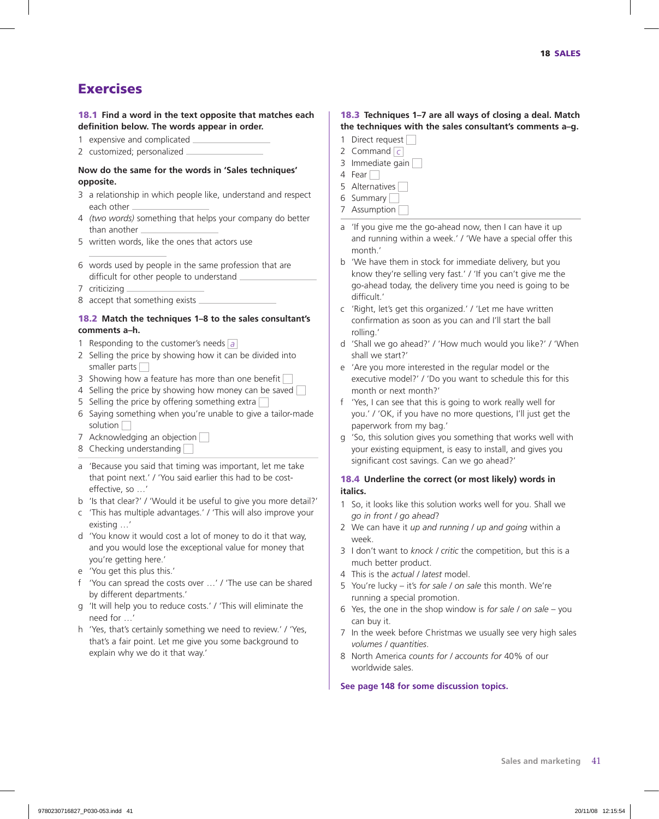## Exercises

#### 18.1 **Find a word in the text opposite that matches each definition below. The words appear in order.**

- 1 expensive and complicated
- 2 customized; personalized

#### **Now do the same for the words in 'Sales techniques' opposite.**

- 3 a relationship in which people like, understand and respect each other
- 4 *(two words)* something that helps your company do better than another
- 5 written words, like the ones that actors use
- 6 words used by people in the same profession that are difficult for other people to understand
- 7 criticizing
- 8 accept that something exists

#### 18.2 **Match the techniques 1–8 to the sales consultant's comments a–h.**

- 1 Responding to the customer's needs *a*
- 2 Selling the price by showing how it can be divided into smaller parts
- 3 Showing how a feature has more than one benefit
- 4 Selling the price by showing how money can be saved  $\Box$
- 5 Selling the price by offering something extra  $\Box$
- 6 Saying something when you're unable to give a tailor-made solution  $\Box$
- 7 Acknowledging an objection  $\Box$
- 8 Checking understanding  $\Box$
- a 'Because you said that timing was important, let me take that point next.' / 'You said earlier this had to be costeffective, so …'
- b 'Is that clear?' / 'Would it be useful to give you more detail?'
- c 'This has multiple advantages.' / 'This will also improve your existing …'
- d 'You know it would cost a lot of money to do it that way, and you would lose the exceptional value for money that you're getting here.'
- e 'You get this plus this.'
- f 'You can spread the costs over …' / 'The use can be shared by different departments.'
- g 'It will help you to reduce costs.' / 'This will eliminate the need for …'
- h 'Yes, that's certainly something we need to review.' / 'Yes, that's a fair point. Let me give you some background to explain why we do it that way.'

#### 18.3 **Techniques 1–7 are all ways of closing a deal. Match the techniques with the sales consultant's comments a–g.**

- 1 Direct request  $\Box$
- 2 Command *c*
- 3 Immediate gain  $\Box$
- 4 Fear
- 5 Alternatives
- 6 Summary
- 7 Assumption
- a 'If you give me the go-ahead now, then I can have it up and running within a week.' / 'We have a special offer this month.'
- b 'We have them in stock for immediate delivery, but you know they're selling very fast.' / 'If you can't give me the go-ahead today, the delivery time you need is going to be difficult.'
- c 'Right, let's get this organized.' / 'Let me have written confirmation as soon as you can and I'll start the ball rolling.'
- d 'Shall we go ahead?' / 'How much would you like?' / 'When shall we start?'
- e 'Are you more interested in the regular model or the executive model?' / 'Do you want to schedule this for this month or next month?'
- f 'Yes, I can see that this is going to work really well for you.' / 'OK, if you have no more questions, I'll just get the paperwork from my bag.'
- g 'So, this solution gives you something that works well with your existing equipment, is easy to install, and gives you significant cost savings. Can we go ahead?'

#### 18.4 **Underline the correct (or most likely) words in italics.**

- 1 So, it looks like this solution works well for you. Shall we *go in front / go ahead*?
- 2 We can have it *up and running / up and going* within a week.
- 3 I don't want to *knock / critic* the competition, but this is a much better product.
- 4 This is the *actual / latest* model.
- 5 You're lucky it's *for sale / on sale* this month. We're running a special promotion.
- 6 Yes, the one in the shop window is *for sale / on sale* you can buy it.
- 7 In the week before Christmas we usually see very high sales *volumes / quantities*.
- 8 North America *counts for / accounts for* 40% of our worldwide sales.

#### **See page 148 for some discussion topics.**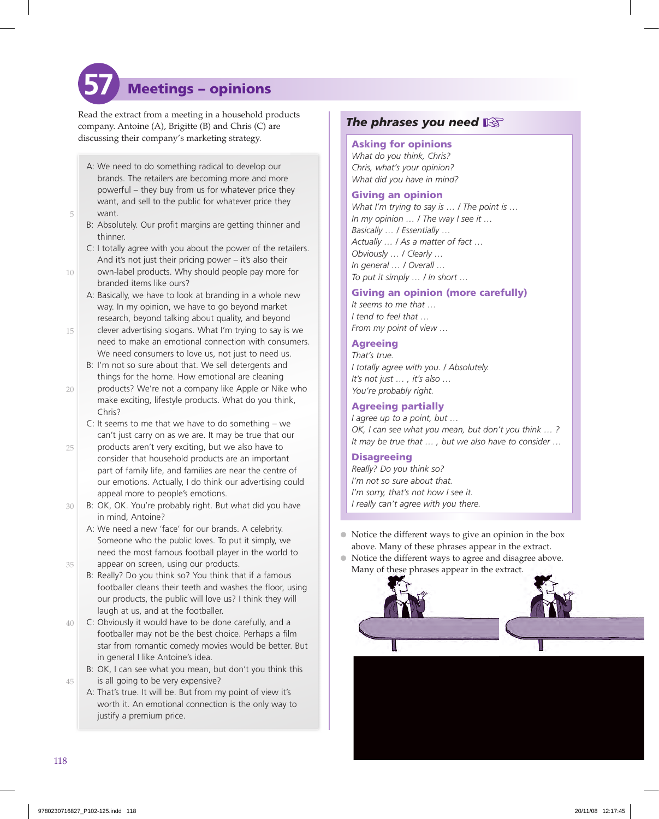

## **57** meetings – opinions

Read the extract from a meeting in a household products company. Antoine (A), Brigitte (B) and Chris (C) are discussing their company's marketing strategy.

- A: We need to do something radical to develop our brands. The retailers are becoming more and more powerful – they buy from us for whatever price they want, and sell to the public for whatever price they want
- 5

10

15

20

25

35

45

- B: Absolutely. Our profit margins are getting thinner and thinner.
- C: I totally agree with you about the power of the retailers. And it's not just their pricing power – it's also their
- own-label products. Why should people pay more for branded items like ours?
	- A: Basically, we have to look at branding in a whole new way. In my opinion, we have to go beyond market research, beyond talking about quality, and beyond
- clever advertising slogans. What I'm trying to say is we need to make an emotional connection with consumers. We need consumers to love us, not just to need us.
- B: I'm not so sure about that. We sell detergents and things for the home. How emotional are cleaning products? We're not a company like Apple or Nike who make exciting, lifestyle products. What do you think, Chris?
- C: It seems to me that we have to do something we can't just carry on as we are. It may be true that our
- products aren't very exciting, but we also have to consider that household products are an important part of family life, and families are near the centre of our emotions. Actually, I do think our advertising could appeal more to people's emotions.
- B: OK, OK. You're probably right. But what did you have in mind, Antoine? 30
	- A: We need a new 'face' for our brands. A celebrity. Someone who the public loves. To put it simply, we need the most famous football player in the world to appear on screen, using our products.
	- B: Really? Do you think so? You think that if a famous footballer cleans their teeth and washes the floor, using our products, the public will love us? I think they will laugh at us, and at the footballer.
- C: Obviously it would have to be done carefully, and a footballer may not be the best choice. Perhaps a film star from romantic comedy movies would be better. But in general I like Antoine's idea. 40
	- B: OK, I can see what you mean, but don't you think this is all going to be very expensive?
		- A: That's true. It will be. But from my point of view it's worth it. An emotional connection is the only way to justify a premium price.

### *The phrases you need* ☞

#### **Asking for opinions**

*What do you think, Chris? Chris, what's your opinion? What did you have in mind?*

#### **Giving an opinion**

*What I'm trying to say is … / The point is … In my opinion … / The way I see it … Basically … / Essentially … Actually … / As a matter of fact … Obviously … / Clearly … In general … / Overall … To put it simply … / In short …*

#### giving an opinion (more carefully)

*It seems to me that … I tend to feel that … From my point of view …*

#### **Agreeing**

*That's true. I totally agree with you. / Absolutely. It's not just … , it's also … You're probably right.*

#### agreeing partially

*I agree up to a point, but … OK, I can see what you mean, but don't you think … ? It may be true that … , but we also have to consider …*

#### **Disagreeing**

*Really? Do you think so? I'm not so sure about that. I'm sorry, that's not how I see it. I really can't agree with you there.*

- Notice the different ways to give an opinion in the box above. Many of these phrases appear in the extract.
- Notice the different ways to agree and disagree above. Many of these phrases appear in the extract.